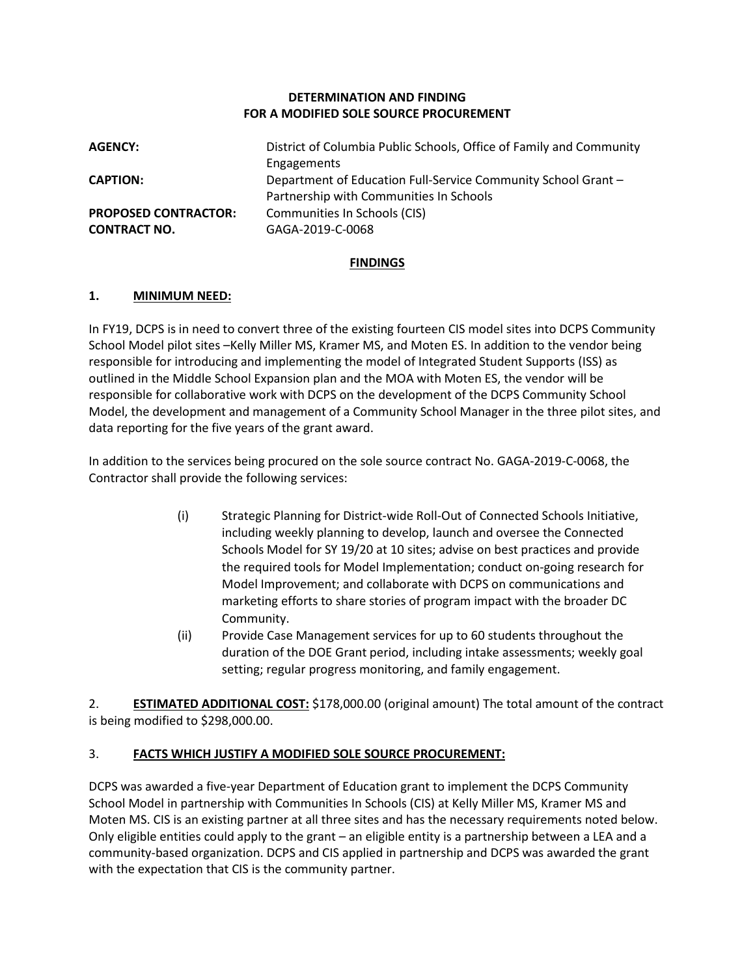### **DETERMINATION AND FINDING FOR A MODIFIED SOLE SOURCE PROCUREMENT**

| <b>AGENCY:</b>              | District of Columbia Public Schools, Office of Family and Community |
|-----------------------------|---------------------------------------------------------------------|
|                             | Engagements                                                         |
| <b>CAPTION:</b>             | Department of Education Full-Service Community School Grant -       |
|                             | Partnership with Communities In Schools                             |
| <b>PROPOSED CONTRACTOR:</b> | Communities In Schools (CIS)                                        |
| <b>CONTRACT NO.</b>         | GAGA-2019-C-0068                                                    |

### **FINDINGS**

### **1. MINIMUM NEED:**

In FY19, DCPS is in need to convert three of the existing fourteen CIS model sites into DCPS Community School Model pilot sites –Kelly Miller MS, Kramer MS, and Moten ES. In addition to the vendor being responsible for introducing and implementing the model of Integrated Student Supports (ISS) as outlined in the Middle School Expansion plan and the MOA with Moten ES, the vendor will be responsible for collaborative work with DCPS on the development of the DCPS Community School Model, the development and management of a Community School Manager in the three pilot sites, and data reporting for the five years of the grant award.

In addition to the services being procured on the sole source contract No. GAGA-2019-C-0068, the Contractor shall provide the following services:

- (i) Strategic Planning for District-wide Roll-Out of Connected Schools Initiative, including weekly planning to develop, launch and oversee the Connected Schools Model for SY 19/20 at 10 sites; advise on best practices and provide the required tools for Model Implementation; conduct on-going research for Model Improvement; and collaborate with DCPS on communications and marketing efforts to share stories of program impact with the broader DC Community.
- (ii) Provide Case Management services for up to 60 students throughout the duration of the DOE Grant period, including intake assessments; weekly goal setting; regular progress monitoring, and family engagement.

2. **ESTIMATED ADDITIONAL COST:** \$178,000.00 (original amount) The total amount of the contract is being modified to \$298,000.00.

### 3. **FACTS WHICH JUSTIFY A MODIFIED SOLE SOURCE PROCUREMENT:**

DCPS was awarded a five-year Department of Education grant to implement the DCPS Community School Model in partnership with Communities In Schools (CIS) at Kelly Miller MS, Kramer MS and Moten MS. CIS is an existing partner at all three sites and has the necessary requirements noted below. Only eligible entities could apply to the grant – an eligible entity is a partnership between a LEA and a community-based organization. DCPS and CIS applied in partnership and DCPS was awarded the grant with the expectation that CIS is the community partner.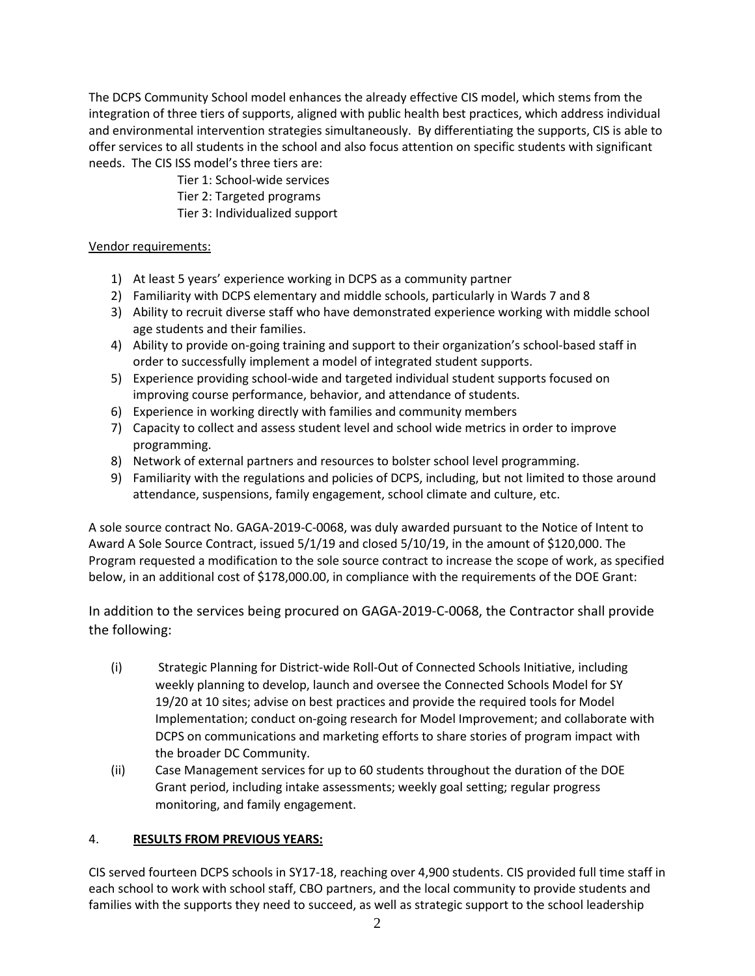The DCPS Community School model enhances the already effective CIS model, which stems from the integration of three tiers of supports, aligned with public health best practices, which address individual and environmental intervention strategies simultaneously. By differentiating the supports, CIS is able to offer services to all students in the school and also focus attention on specific students with significant needs. The CIS ISS model's three tiers are:

> Tier 1: School-wide services Tier 2: Targeted programs

Tier 3: Individualized support

## Vendor requirements:

- 1) At least 5 years' experience working in DCPS as a community partner
- 2) Familiarity with DCPS elementary and middle schools, particularly in Wards 7 and 8
- 3) Ability to recruit diverse staff who have demonstrated experience working with middle school age students and their families.
- 4) Ability to provide on-going training and support to their organization's school-based staff in order to successfully implement a model of integrated student supports.
- 5) Experience providing school-wide and targeted individual student supports focused on improving course performance, behavior, and attendance of students.
- 6) Experience in working directly with families and community members
- 7) Capacity to collect and assess student level and school wide metrics in order to improve programming.
- 8) Network of external partners and resources to bolster school level programming.
- 9) Familiarity with the regulations and policies of DCPS, including, but not limited to those around attendance, suspensions, family engagement, school climate and culture, etc.

A sole source contract No. GAGA-2019-C-0068, was duly awarded pursuant to the Notice of Intent to Award A Sole Source Contract, issued 5/1/19 and closed 5/10/19, in the amount of \$120,000. The Program requested a modification to the sole source contract to increase the scope of work, as specified below, in an additional cost of \$178,000.00, in compliance with the requirements of the DOE Grant:

In addition to the services being procured on GAGA-2019-C-0068, the Contractor shall provide the following:

- (i) Strategic Planning for District-wide Roll-Out of Connected Schools Initiative, including weekly planning to develop, launch and oversee the Connected Schools Model for SY 19/20 at 10 sites; advise on best practices and provide the required tools for Model Implementation; conduct on-going research for Model Improvement; and collaborate with DCPS on communications and marketing efforts to share stories of program impact with the broader DC Community.
- (ii) Case Management services for up to 60 students throughout the duration of the DOE Grant period, including intake assessments; weekly goal setting; regular progress monitoring, and family engagement.

# 4. **RESULTS FROM PREVIOUS YEARS:**

CIS served fourteen DCPS schools in SY17-18, reaching over 4,900 students. CIS provided full time staff in each school to work with school staff, CBO partners, and the local community to provide students and families with the supports they need to succeed, as well as strategic support to the school leadership